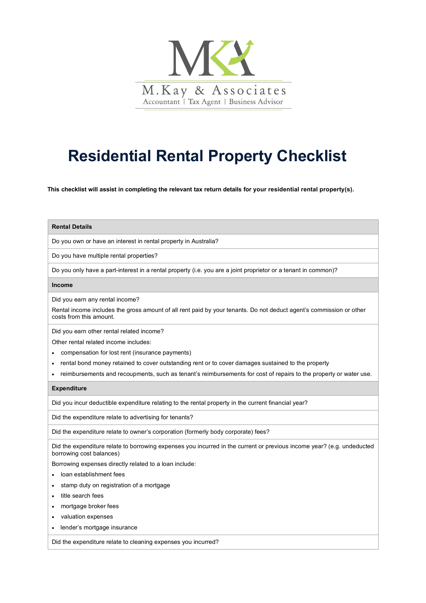

## **Residential Rental Property Checklist**

This checklist will assist in completing the relevant tax return details for your residential rental property(s).

## **Rental Details**

Do you own or have an interest in rental property in Australia?

Do you have multiple rental properties?

Do you only have a part-interest in a rental property (i.e. you are a joint proprietor or a tenant in common)?

## **Income**

Did you earn any rental income?

Rental income includes the gross amount of all rent paid by your tenants. Do not deduct agent's commission or other costs from this amount.

Did you earn other rental related income?

Other rental related income includes:

- compensation for lost rent (insurance payments)
- rental bond money retained to cover outstanding rent or to cover damages sustained to the property
- reimbursements and recoupments, such as tenant's reimbursements for cost of repairs to the property or water use.

## **Expenditure**

Did you incur deductible expenditure relating to the rental property in the current financial year?

Did the expenditure relate to advertising for tenants?

Did the expenditure relate to owner's corporation (formerly body corporate) fees?

Did the expenditure relate to borrowing expenses you incurred in the current or previous income year? (e.g. undeducted borrowing cost balances)

Borrowing expenses directly related to a loan include:

- loan establishment fees
- stamp duty on registration of a mortgage
- title search fees
- mortgage broker fees
- valuation expenses
- lender's mortgage insurance

Did the expenditure relate to cleaning expenses you incurred?